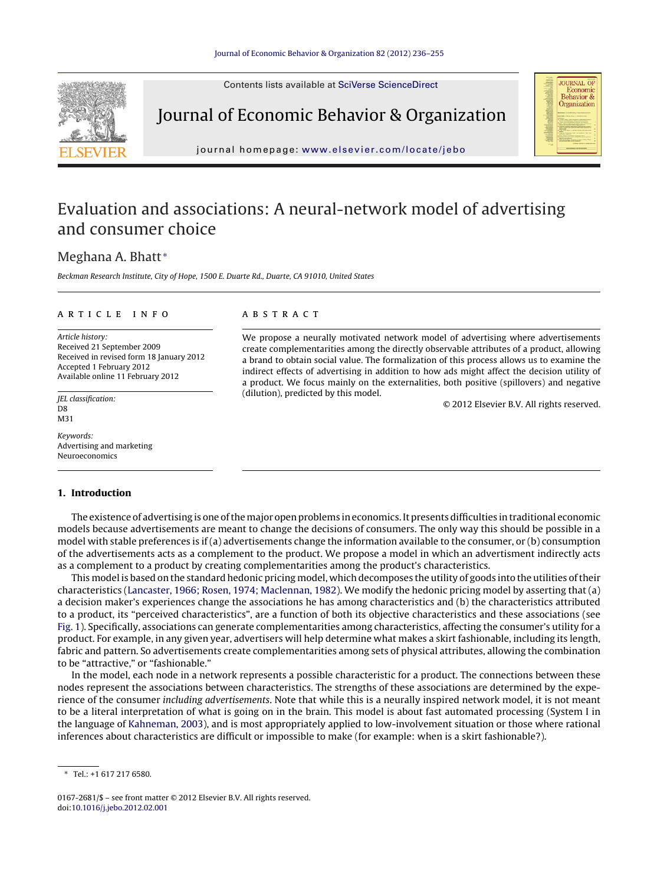Contents lists available at SciVerse [ScienceDirect](http://www.sciencedirect.com/science/journal/01672681)



Journal of Economic Behavior & Organization



journal homepage: [www.elsevier.com/locate/jebo](http://www.elsevier.com/locate/jebo)

## Evaluation and associations: A neural-network model of advertising and consumer choice

### Meghana A. Bhatt <sup>∗</sup>

Beckman Research Institute, City of Hope, 1500 E. Duarte Rd., Duarte, CA 91010, United States

#### a r t i c l e i n f o

Article history: Received 21 September 2009 Received in revised form 18 January 2012 Accepted 1 February 2012 Available online 11 February 2012

JEL classification:  $DS$ M31

Keywords: Advertising and marketing Neuroeconomics

#### **1. Introduction**

#### A B S T R A C T

We propose a neurally motivated network model of advertising where advertisements create complementarities among the directly observable attributes of a product, allowing a brand to obtain social value. The formalization of this process allows us to examine the indirect effects of advertising in addition to how ads might affect the decision utility of a product. We focus mainly on the externalities, both positive (spillovers) and negative (dilution), predicted by this model.

© 2012 Elsevier B.V. All rights reserved.

The existence of advertising is one ofthemajor open problems in economics.It presents difficulties in traditional economic models because advertisements are meant to change the decisions of consumers. The only way this should be possible in a model with stable preferences is if (a) advertisements change the information available to the consumer, or (b) consumption of the advertisements acts as a complement to the product. We propose a model in which an advertisment indirectly acts as a complement to a product by creating complementarities among the product's characteristics.

This model is based on the standard hedonic pricing model, which decomposes the utility of goods into the utilities oftheir characteristics [\(Lancaster,](#page--1-0) [1966;](#page--1-0) [Rosen,](#page--1-0) [1974;](#page--1-0) [Maclennan,](#page--1-0) [1982\).](#page--1-0) We modify the hedonic pricing model by asserting that (a) a decision maker's experiences change the associations he has among characteristics and (b) the characteristics attributed to a product, its "perceived characteristics", are a function of both its objective characteristics and these associations (see [Fig.](#page-1-0) 1). Specifically, associations can generate complementarities among characteristics, affecting the consumer's utility for a product. For example, in any given year, advertisers will help determine what makes a skirt fashionable, including its length, fabric and pattern. So advertisements create complementarities among sets of physical attributes, allowing the combination to be "attractive," or "fashionable."

In the model, each node in a network represents a possible characteristic for a product. The connections between these nodes represent the associations between characteristics. The strengths of these associations are determined by the experience of the consumer including advertisements. Note that while this is a neurally inspired network model, it is not meant to be a literal interpretation of what is going on in the brain. This model is about fast automated processing (System I in the language of [Kahneman,](#page--1-0) [2003\),](#page--1-0) and is most appropriately applied to low-involvement situation or those where rational inferences about characteristics are difficult or impossible to make (for example: when is a skirt fashionable?).

<sup>∗</sup> Tel.: +1 617 217 6580.

<sup>0167-2681/\$</sup> – see front matter © 2012 Elsevier B.V. All rights reserved. doi:[10.1016/j.jebo.2012.02.001](dx.doi.org/10.1016/j.jebo.2012.02.001)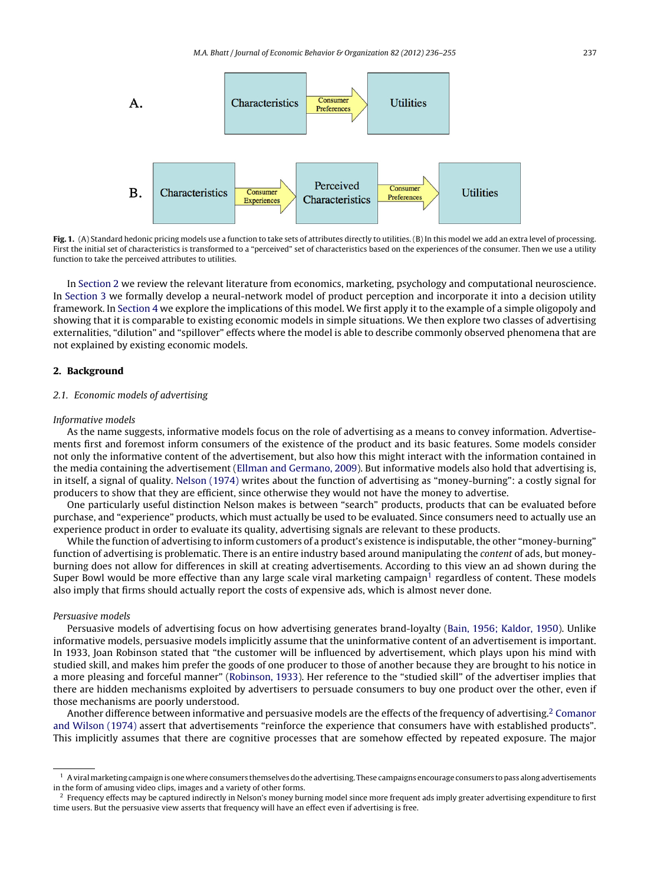<span id="page-1-0"></span>

Fig. 1. (A) Standard hedonic pricing models use a function to take sets of attributes directly to utilities. (B) In this model we add an extra level of processing. First the initial set of characteristics is transformed to a "perceived" set of characteristics based on the experiences of the consumer. Then we use a utility function to take the perceived attributes to utilities.

In Section 2 we review the relevant literature from economics, marketing, psychology and computational neuroscience. In [Section](#page--1-0) [3](#page--1-0) we formally develop a neural-network model of product perception and incorporate it into a decision utility framework. In [Section](#page--1-0) [4](#page--1-0) we explore the implications of this model. We first apply it to the example of a simple oligopoly and showing that it is comparable to existing economic models in simple situations. We then explore two classes of advertising externalities, "dilution" and "spillover" effects where the model is able to describe commonly observed phenomena that are not explained by existing economic models.

#### **2. Background**

#### 2.1. Economic models of advertising

#### Informative models

As the name suggests, informative models focus on the role of advertising as a means to convey information. Advertisements first and foremost inform consumers of the existence of the product and its basic features. Some models consider not only the informative content of the advertisement, but also how this might interact with the information contained in the media containing the advertisement ([Ellman](#page--1-0) [and](#page--1-0) [Germano,](#page--1-0) [2009\).](#page--1-0) But informative models also hold that advertising is, in itself, a signal of quality. [Nelson](#page--1-0) [\(1974\)](#page--1-0) writes about the function of advertising as "money-burning": a costly signal for producers to show that they are efficient, since otherwise they would not have the money to advertise.

One particularly useful distinction Nelson makes is between "search" products, products that can be evaluated before purchase, and "experience" products, which must actually be used to be evaluated. Since consumers need to actually use an experience product in order to evaluate its quality, advertising signals are relevant to these products.

While the function of advertising to inform customers of a product's existence is indisputable, the other "money-burning" function of advertising is problematic. There is an entire industry based around manipulating the content of ads, but moneyburning does not allow for differences in skill at creating advertisements. According to this view an ad shown during the Super Bowl would be more effective than any large scale viral marketing campaign<sup>1</sup> regardless of content. These models also imply that firms should actually report the costs of expensive ads, which is almost never done.

#### Persuasive models

Persuasive models of advertising focus on how advertising generates brand-loyalty ([Bain,](#page--1-0) [1956;](#page--1-0) [Kaldor,](#page--1-0) [1950\).](#page--1-0) Unlike informative models, persuasive models implicitly assume that the uninformative content of an advertisement is important. In 1933, Joan Robinson stated that "the customer will be influenced by advertisement, which plays upon his mind with studied skill, and makes him prefer the goods of one producer to those of another because they are brought to his notice in a more pleasing and forceful manner" [\(Robinson,](#page--1-0) [1933\).](#page--1-0) Her reference to the "studied skill" of the advertiser implies that there are hidden mechanisms exploited by advertisers to persuade consumers to buy one product over the other, even if those mechanisms are poorly understood.

Another difference between informative and persuasive models are the effects of the frequency of advertising.<sup>2</sup> [Comanor](#page--1-0) [and](#page--1-0) [Wilson](#page--1-0) [\(1974\)](#page--1-0) assert that advertisements "reinforce the experience that consumers have with established products". This implicitly assumes that there are cognitive processes that are somehow effected by repeated exposure. The major

<sup>&</sup>lt;sup>1</sup> A viral marketing campaign is one where consumers themselves do the advertising. These campaigns encourage consumers to pass along advertisements in the form of amusing video clips, images and a variety of other forms.

 $^2$  Frequency effects may be captured indirectly in Nelson's money burning model since more frequent ads imply greater advertising expenditure to first time users. But the persuasive view asserts that frequency will have an effect even if advertising is free.